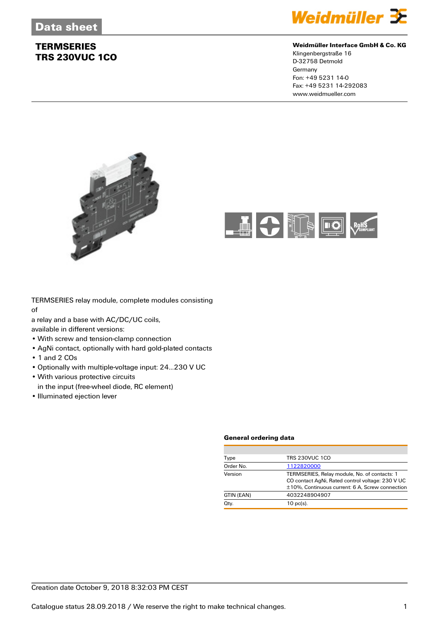

### **Weidmüller Interface GmbH & Co. KG**

Klingenbergstraße 16 D-32758 Detmold Germany Fon: +49 5231 14-0 Fax: +49 5231 14-292083 www.weidmueller.com





TERMSERIES relay module, complete modules consisting of

a relay and a base with AC/DC/UC coils,

available in different versions:

- With screw and tension-clamp connection
- AgNi contact, optionally with hard gold-plated contacts
- 1 and 2 COs
- Optionally with multiple-voltage input: 24...230 V UC
- With various protective circuits
- in the input (free-wheel diode, RC element)
- Illuminated ejection lever

#### **General ordering data**

| Type       | <b>TRS 230VUC 1CO</b>                                                                                                                               |
|------------|-----------------------------------------------------------------------------------------------------------------------------------------------------|
| Order No.  | 1122820000                                                                                                                                          |
| Version    | TERMSERIES, Relay module, No. of contacts: 1<br>CO contact AgNi, Rated control voltage: 230 V UC<br>±10%, Continuous current: 6 A, Screw connection |
| GTIN (EAN) | 4032248904907                                                                                                                                       |
| Qty.       | $10$ pc(s).                                                                                                                                         |
|            |                                                                                                                                                     |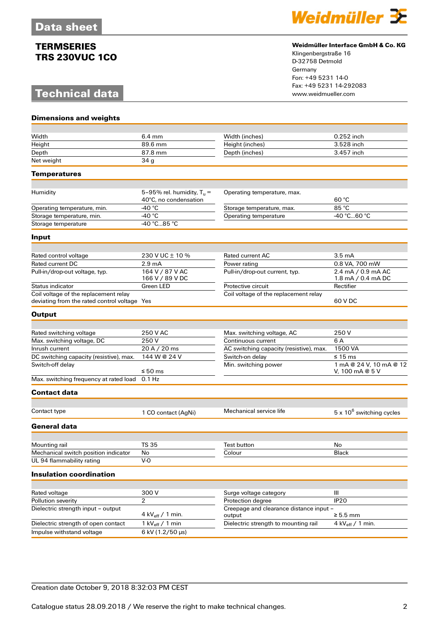# **Technical data**



### **Weidmüller Interface GmbH & Co. KG**

Klingenbergstraße 16 D-32758 Detmold Germany Fon: +49 5231 14-0 Fax: +49 5231 14-292083

| <b>Dimensions and weights</b>                |                                                       |                                                   |                                            |
|----------------------------------------------|-------------------------------------------------------|---------------------------------------------------|--------------------------------------------|
|                                              |                                                       |                                                   |                                            |
| Width                                        | $6.4 \text{ mm}$                                      | Width (inches)                                    | 0.252 inch                                 |
| Height                                       | 89.6 mm                                               | Height (inches)                                   | 3.528 inch                                 |
| Depth                                        | 87.8 mm                                               | Depth (inches)                                    | 3.457 inch                                 |
| Net weight                                   | 34 <sub>g</sub>                                       |                                                   |                                            |
| Temperatures                                 |                                                       |                                                   |                                            |
|                                              |                                                       |                                                   |                                            |
| Humidity                                     | 5-95% rel. humidity, $T_u =$<br>40°C, no condensation | Operating temperature, max.                       | 60 °C                                      |
| Operating temperature, min.                  | -40 $^{\circ}$ C                                      | Storage temperature, max.                         | 85 °C                                      |
| Storage temperature, min.                    | -40 $^{\circ}$ C                                      | Operating temperature                             | -40 °C60 °C                                |
| Storage temperature                          | -40 °C85 °C                                           |                                                   |                                            |
| Input                                        |                                                       |                                                   |                                            |
|                                              |                                                       |                                                   |                                            |
| Rated control voltage                        | 230 V UC ± 10 %                                       | <b>Rated current AC</b>                           | 3.5 <sub>mA</sub>                          |
| Rated current DC                             | 2.9 <sub>mA</sub>                                     | Power rating                                      | 0.8 VA, 700 mW                             |
| Pull-in/drop-out voltage, typ.               | 164 V / 87 V AC<br>166 V / 89 V DC                    | Pull-in/drop-out current, typ.                    | 2.4 mA / 0.9 mA AC<br>1.8 mA / 0.4 mA DC   |
| Status indicator                             | Green LED                                             | Protective circuit                                | Rectifier                                  |
| Coil voltage of the replacement relay        |                                                       | Coil voltage of the replacement relay             |                                            |
| deviating from the rated control voltage Yes |                                                       |                                                   | 60 V DC                                    |
| <b>Output</b>                                |                                                       |                                                   |                                            |
|                                              |                                                       |                                                   |                                            |
| Rated switching voltage                      | 250 V AC                                              | Max. switching voltage, AC                        | 250 V                                      |
| Max. switching voltage, DC                   | 250V                                                  | Continuous current                                | 6 A                                        |
| Inrush current                               | 20 A / 20 ms                                          | AC switching capacity (resistive), max.           | 1500 VA                                    |
| DC switching capacity (resistive), max.      | 144 W @ 24 V                                          | Switch-on delay                                   | ≤ 15 ms                                    |
| Switch-off delay                             | ≤ 50 ms                                               | Min. switching power                              | 1 mA @ 24 V, 10 mA @ 12<br>V, 100 mA @ 5 V |
| Max. switching frequency at rated load       | $0.1$ Hz                                              |                                                   |                                            |
|                                              |                                                       |                                                   |                                            |
| <b>Contact data</b>                          |                                                       |                                                   |                                            |
| Contact type                                 | 1 CO contact (AgNi)                                   | Mechanical service life                           | $5 \times 10^6$ switching cycles           |
| <b>General data</b>                          |                                                       |                                                   |                                            |
|                                              |                                                       |                                                   |                                            |
| Mounting rail                                | <b>TS 35</b>                                          | Test button                                       | $\operatorname{\mathsf{No}}$               |
| Mechanical switch position indicator         | No                                                    | Colour                                            | Black                                      |
| UL 94 flammability rating                    | $V-0$                                                 |                                                   |                                            |
| <b>Insulation coordination</b>               |                                                       |                                                   |                                            |
|                                              |                                                       |                                                   |                                            |
| Rated voltage                                | 300 V                                                 | Surge voltage category                            | $\mathop{\rm III}$                         |
| Pollution severity                           | $\overline{2}$                                        | Protection degree                                 | IP <sub>20</sub>                           |
| Dielectric strength input - output           | 4 kV $_{\text{eff}}$ / 1 min.                         | Creepage and clearance distance input -<br>output | $\geq 5.5$ mm                              |
| Dielectric strength of open contact          | 1 kV $_{\text{eff}}$ / 1 min                          | Dielectric strength to mounting rail              | 4 kV $_{\text{eff}}$ / 1 min.              |
| Impulse withstand voltage                    | 6 kV (1.2/50 µs)                                      |                                                   |                                            |
|                                              |                                                       |                                                   |                                            |

### Creation date October 9, 2018 8:32:03 PM CEST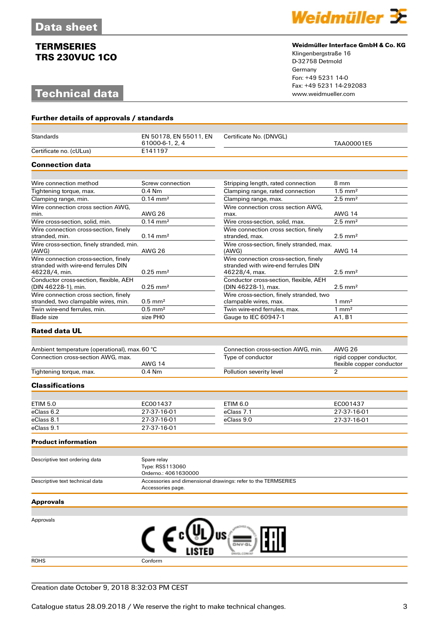# **Technical data**



#### **Weidmüller Interface GmbH & Co. KG**

Klingenbergstraße 16 D-32758 Detmold Germany Fon: +49 5231 14-0 Fax: +49 5231 14-292083

| Further details of approvals / standards                                                      |                                                        |                                                                                               |                                      |  |
|-----------------------------------------------------------------------------------------------|--------------------------------------------------------|-----------------------------------------------------------------------------------------------|--------------------------------------|--|
|                                                                                               |                                                        |                                                                                               |                                      |  |
| <b>Standards</b>                                                                              | EN 50178, EN 55011, EN<br>61000-6-1, 2, 4              | Certificate No. (DNVGL)                                                                       | TAA00001E5                           |  |
| Certificate no. (cULus)                                                                       | E141197                                                |                                                                                               |                                      |  |
| <b>Connection data</b>                                                                        |                                                        |                                                                                               |                                      |  |
|                                                                                               |                                                        |                                                                                               |                                      |  |
| Wire connection method                                                                        | Screw connection                                       | Stripping length, rated connection                                                            | 8 mm                                 |  |
| Tightening torque, max.                                                                       | $0.4$ Nm                                               | Clamping range, rated connection                                                              | $1.5 \text{ mm}^2$                   |  |
| Clamping range, min.                                                                          | $0.14 \, \text{mm}^2$                                  | Clamping range, max.                                                                          | $2.5$ mm <sup>2</sup>                |  |
| Wire connection cross section AWG,                                                            |                                                        | Wire connection cross section AWG.                                                            |                                      |  |
| min.                                                                                          | <b>AWG 26</b>                                          | max.                                                                                          | <b>AWG 14</b>                        |  |
| Wire cross-section, solid, min.                                                               | $0.14 \, \text{mm}^2$                                  | Wire cross-section, solid, max.                                                               | $2.5$ mm <sup>2</sup>                |  |
| Wire connection cross-section, finely<br>stranded, min.                                       | $0.14 \, \text{mm}^2$                                  | Wire connection cross section, finely<br>stranded, max.                                       | $2.5$ mm <sup>2</sup>                |  |
| Wire cross-section, finely stranded, min.<br>(AWG)                                            | <b>AWG 26</b>                                          | Wire cross-section, finely stranded, max.<br>(AWG)                                            | AWG 14                               |  |
| Wire connection cross-section, finely<br>stranded with wire-end ferrules DIN<br>46228/4, min. | $0.25$ mm <sup>2</sup>                                 | Wire connection cross-section, finely<br>stranded with wire-end ferrules DIN<br>46228/4, max. | $2.5$ mm <sup>2</sup>                |  |
| Conductor cross-section, flexible, AEH<br>(DIN 46228-1), min.                                 | $0.25$ mm <sup>2</sup>                                 | Conductor cross-section, flexible, AEH<br>(DIN 46228-1), max.                                 | $2.5$ mm <sup>2</sup>                |  |
| Wire connection cross section, finely<br>stranded, two clampable wires, min.                  |                                                        | Wire cross-section, finely stranded, two                                                      |                                      |  |
| Twin wire-end ferrules, min.                                                                  | $0.5$ mm <sup>2</sup><br>$0.5$ mm <sup>2</sup>         | clampable wires, max.<br>Twin wire-end ferrules, max.                                         | $1 \text{ mm}^2$<br>$1 \text{ mm}^2$ |  |
| <b>Blade</b> size                                                                             | size PHO                                               | Gauge to IEC 60947-1                                                                          | A1, B1                               |  |
|                                                                                               |                                                        |                                                                                               |                                      |  |
| <b>Rated data UL</b>                                                                          |                                                        |                                                                                               |                                      |  |
|                                                                                               |                                                        | Connection cross-section AWG, min.                                                            | <b>AWG 26</b>                        |  |
| Ambient temperature (operational), max. 60 °C<br>Connection cross-section AWG, max.           |                                                        | Type of conductor                                                                             | rigid copper conductor,              |  |
|                                                                                               | <b>AWG 14</b>                                          |                                                                                               | flexible copper conductor            |  |
| Tightening torque, max.                                                                       | $0.4$ Nm                                               | Pollution severity level                                                                      | $\overline{2}$                       |  |
| <b>Classifications</b>                                                                        |                                                        |                                                                                               |                                      |  |
|                                                                                               |                                                        |                                                                                               |                                      |  |
| <b>ETIM 5.0</b>                                                                               | EC001437                                               | <b>ETIM 6.0</b>                                                                               | EC001437                             |  |
| eClass 6.2                                                                                    | 27-37-16-01                                            | eClass 7.1                                                                                    | 27-37-16-01                          |  |
| eClass 8.1                                                                                    | 27-37-16-01                                            | eClass 9.0                                                                                    | 27-37-16-01                          |  |
| eClass 9.1                                                                                    | 27-37-16-01                                            |                                                                                               |                                      |  |
| <b>Product information</b>                                                                    |                                                        |                                                                                               |                                      |  |
|                                                                                               |                                                        |                                                                                               |                                      |  |
| Descriptive text ordering data                                                                | Spare relay<br>Type: RSS113060<br>Orderno.: 4061630000 |                                                                                               |                                      |  |
| Descriptive text technical data                                                               | Accessories page.                                      | Accessories and dimensional drawings: refer to the TERMSERIES                                 |                                      |  |
| <b>Approvals</b>                                                                              |                                                        |                                                                                               |                                      |  |
|                                                                                               |                                                        |                                                                                               |                                      |  |
| Approvals                                                                                     |                                                        |                                                                                               |                                      |  |
|                                                                                               |                                                        |                                                                                               |                                      |  |
|                                                                                               |                                                        | US                                                                                            |                                      |  |
|                                                                                               |                                                        |                                                                                               |                                      |  |
|                                                                                               |                                                        |                                                                                               |                                      |  |

ROHS Conform

Creation date October 9, 2018 8:32:03 PM CEST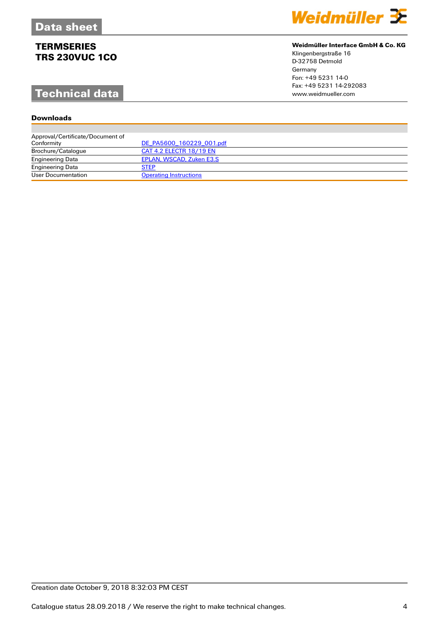# **Technical data**

## **Downloads**

| Weidmüller 32 |  |  |
|---------------|--|--|
|               |  |  |

## **Weidmüller Interface GmbH & Co. KG**

Klingenbergstraße 16 D-32758 Detmold Germany Fon: +49 5231 14-0 Fax: +49 5231 14-292083

| Approval/Certificate/Document of |                               |
|----------------------------------|-------------------------------|
| Conformity                       | DE PA5600 160229 001.pdf      |
| Brochure/Catalogue               | CAT 4.2 ELECTR 18/19 EN       |
| <b>Engineering Data</b>          | EPLAN, WSCAD, Zuken E3.S      |
| <b>Engineering Data</b>          | <b>STEP</b>                   |
| User Documentation               | <b>Operating Instructions</b> |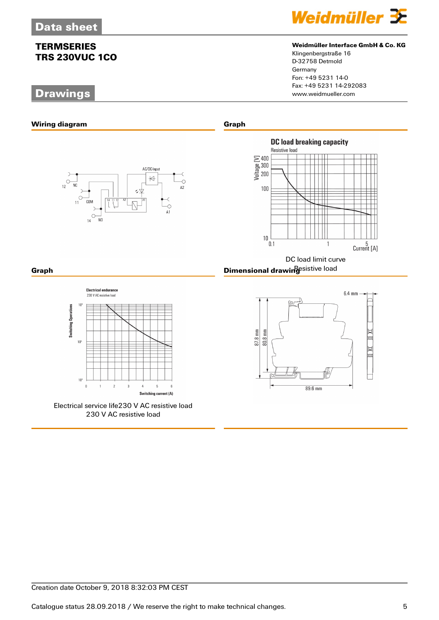# **Drawings**



## **Weidmüller Interface GmbH & Co. KG**

Klingenbergstraße 16 D-32758 Detmold Germany Fon: +49 5231 14-0 Fax: +49 5231 14-292083